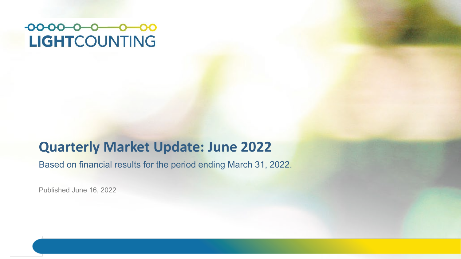#### $-00-00-0$  0 00 **LIGHTCOUNTING**

#### **Quarterly Market Update: June 2022**

Based on financial results for the period ending March 31, 2022.

Published June 16, 2022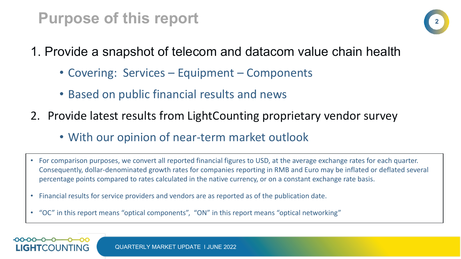## **Purpose of this report**



- 1. Provide a snapshot of telecom and datacom value chain health
	- Covering: Services Equipment Components
	- Based on public financial results and news
- 2. Provide latest results from LightCounting proprietary vendor survey
	- With our opinion of near-term market outlook
- For comparison purposes, we convert all reported financial figures to USD, at the average exchange rates for each quarter. Consequently, dollar-denominated growth rates for companies reporting in RMB and Euro may be inflated or deflated several percentage points compared to rates calculated in the native currency, or on a constant exchange rate basis.
- Financial results for service providers and vendors are as reported as of the publication date.
- "OC" in this report means "optical components", "ON" in this report means "optical networking"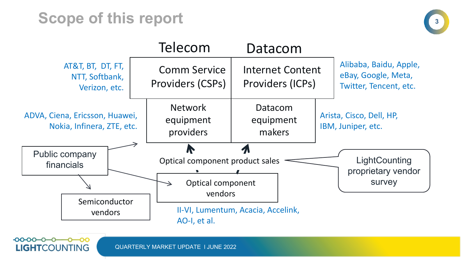# **Scope of this report**

 $000000$ 

**LIGHTCOUNTING** 





QUARTERLY MARKET UPDATE l JUNE 2022